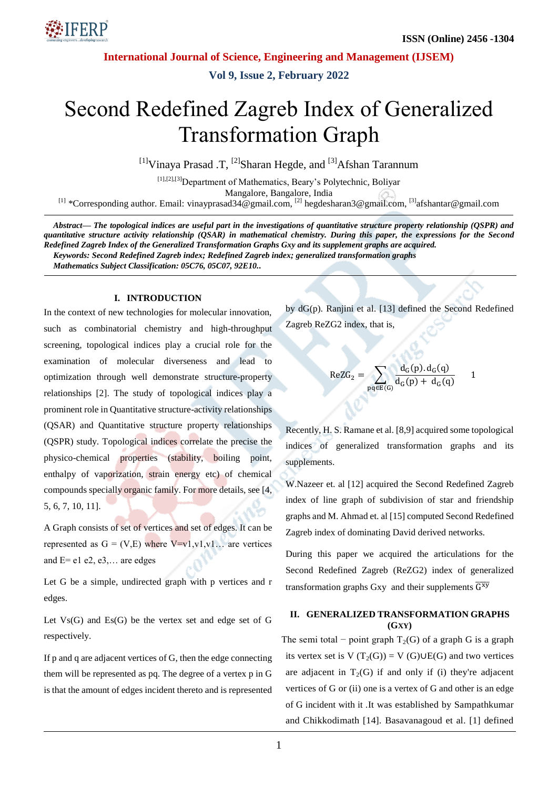

**Vol 9, Issue 2, February 2022**

# Second Redefined Zagreb Index of Generalized Transformation Graph

<sup>[1]</sup>Vinaya Prasad .T, <sup>[2]</sup>Sharan Hegde, and <sup>[3]</sup>Afshan Tarannum

[1],[2],[3]Department of Mathematics, Beary's Polytechnic, Boliyar Mangalore, Bangalore, India <sup>[1]</sup> \*Corresponding author. Email: [vinayprasad34@gmail.com,](mailto:vinayprasad34@gmail.com) <sup>[2]</sup> hegdesharan3@gmail.com, <sup>[3]</sup>afshantar@gmail.com

*Abstract— The topological indices are useful part in the investigations of quantitative structure property relationship (QSPR) and quantitative structure activity relationship (QSAR) in mathematical chemistry. During this paper, the expressions for the Second Redefined Zagreb Index of the Generalized Transformation Graphs Gxy and its supplement graphs are acquired. Keywords: Second Redefined Zagreb index; Redefined Zagreb index; generalized transformation graphs Mathematics Subject Classification: 05C76, 05C07, 92E10..*

#### **I. INTRODUCTION**

In the context of new technologies for molecular innovation, such as combinatorial chemistry and high-throughput screening, topological indices play a crucial role for the examination of molecular diverseness and lead to optimization through well demonstrate structure-property relationships [2]. The study of topological indices play a prominent role in Quantitative structure-activity relationships (QSAR) and Quantitative structure property relationships (QSPR) study. Topological indices correlate the precise the physico-chemical properties (stability, boiling point, enthalpy of vaporization, strain energy etc) of chemical compounds specially organic family. For more details, see [4, 5, 6, 7, 10, 11].

A Graph consists of set of vertices and set of edges. It can be represented as  $G = (V,E)$  where  $V=v1, v1, v1, ...$  are vertices and  $E=$  e1 e2, e3,... are edges

Let G be a simple, undirected graph with p vertices and r edges.

Let  $Vs(G)$  and  $Es(G)$  be the vertex set and edge set of G respectively.

If p and q are adjacent vertices of G, then the edge connecting them will be represented as pq. The degree of a vertex p in G is that the amount of edges incident thereto and is represented by dG(p). Ranjini et al. [13] defined the Second Redefined Zagreb ReZG2 index, that is,

$$
\text{ReZG}_2 = \sum_{pq \in E(G)} \frac{d_G(p).d_G(q)}{d_G(p) + d_G(q)} \qquad 1
$$

Recently, H. S. Ramane et al. [8,9] acquired some topological indices of generalized transformation graphs and its supplements.

W.Nazeer et. al [12] acquired the Second Redefined Zagreb index of line graph of subdivision of star and friendship graphs and M. Ahmad et. al [15] computed Second Redefined Zagreb index of dominating David derived networks.

During this paper we acquired the articulations for the Second Redefined Zagreb (ReZG2) index of generalized transformation graphs Gxy and their supplements  $\overline{G^{xy}}$ 

## **II. GENERALIZED TRANSFORMATION GRAPHS (GXY)**

The semi total – point graph  $T_2(G)$  of a graph G is a graph its vertex set is V  $(T_2(G)) = V(G) \cup E(G)$  and two vertices are adjacent in  $T_2(G)$  if and only if (i) they're adjacent vertices of G or (ii) one is a vertex of G and other is an edge of G incident with it .It was established by Sampathkumar and Chikkodimath [14]. Basavanagoud et al. [1] defined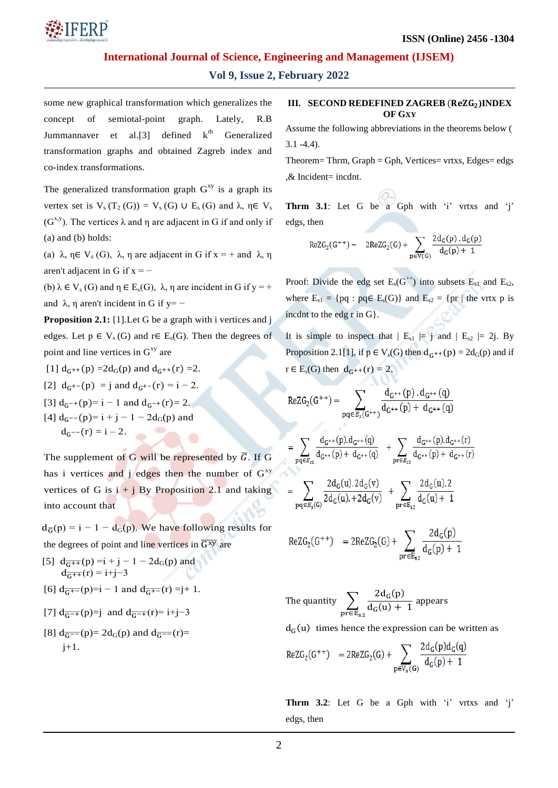

# **Vol 9, Issue 2, February 2022**

some new graphical transformation which generalizes the concept of semiotal-point graph. Lately, R.B Jummannaver et al. [3] defined  $k<sup>th</sup>$  Generalized transformation graphs and obtained Zagreb index and co-index transformations.

The generalized transformation graph  $G^{xy}$  is a graph its vertex set is  $V_s(T_2(G)) = V_s(G) \cup E_s(G)$  and  $\lambda, \eta \in V_s$ ( $G^{x,y}$ ). The vertices  $\lambda$  and  $\eta$  are adjacent in G if and only if (a) and (b) holds:

(a)  $\lambda$ ,  $\eta \in V_s(G)$ ,  $\lambda$ ,  $\eta$  are adjacent in G if  $x = +$  and  $\lambda$ ,  $\eta$ aren't adjacent in G if  $x = -$ 

(b)  $\lambda \in V_s(G)$  and  $\eta \in E_s(G)$ ,  $\lambda$ ,  $\eta$  are incident in G if y = + and  $\lambda$ ,  $\eta$  aren't incident in G if y= –

**Proposition 2.1:** [1]. Let G be a graph with i vertices and j edges. Let  $p \in V_s(G)$  and  $r \in E_s(G)$ . Then the degrees of point and line vertices in  $G^{xy}$  are

[1]  $d_{G^{++}}(p) = 2d_G(p)$  and  $d_{G^{++}}(r) = 2$ . [2]  $d_{G^{+-}}(p) = j$  and  $d_{G^{+-}}(r) = i - 2$ .

- [3]  $d_{G^{-+}}(p) = i 1$  and  $d_{G^{-+}}(r) = 2$ .
- [4]  $d_G$ --(p)= i + j 1 2d<sub>G</sub>(p) and  $d_{G}$ --(r) = i - 2.

The supplement of G will be represented by  $\overline{G}$ . If G has i vertices and j edges then the number of  $G^{xy}$ vertices of G is  $i + j$  By Proposition 2.1 and taking into account that

 $d_{\overline{G}}(p) = i - 1 - d_{G}(p)$ . We have following results for the degrees of point and line vertices in  $\overline{G^{xy}}$  are

- [5]  $d_{\overline{G^{++}}}(p) = i + j 1 2d_G(p)$  and  $d_{\overline{G^{++}}}(r) = i+j-3$
- [6]  $d_{\overline{G^{+-}}}(p)=i-1$  and  $d_{\overline{G^{+-}}}(r)=j+1$ .

[7] 
$$
d_{\overline{G^{-+}}}(p)=j
$$
 and  $d_{\overline{G^{-+}}}(r)=i+j-3$ 

[8] 
$$
d_{\overline{G}^{==}}(p) = 2d_G(p)
$$
 and  $d_{\overline{G}^{==}}(r) =$   
j+1.

#### **III. SECOND REDEFINED ZAGREB** (**ReZG**<sub>2</sub>)**INDEX OF GXY**

Assume the following abbreviations in the theorems below (  $3.1 - 4.4$ ).

Theorem= Thrm,  $Graph = Gph$ , Vertices= vrtxs, Edges= edgs ,& Incident= incdnt.

**Thrm 3.1**: Let G be a Gph with 'i' vrtxs and 'i' edgs, then

$$
\text{ReZG}_2(G^{++})=\quad 2\text{ReZG}_2(G)+\sum_{p\in V(G)}\frac{2d_G(p)\cdot d_G(p)}{d_G(p)+1}
$$

Proof: Divide the edg set  $E_s(G^{++})$  into subsets  $E_{s1}$  and  $E_{s2}$ , where  $E_{s1} = \{pq : pq \in E_s(G)\}\$  and  $E_{s2} = \{pr \mid the \text{ vrtx } p \text{ is }$ incdnt to the edg r in G}.

It is simple to inspect that  $| E_{s1} | = j$  and  $| E_{s2} | = 2j$ . By Proposition 2.1[1], if  $p \in V_s(G)$  then  $d_{G^{++}}(p) = 2d_G(p)$  and if  $r \in E_s(G)$  then  $d_{G^{++}}(r) = 2$ .

$$
\begin{aligned} \text{ReZG}_2(G^{++}) & = \sum_{pq \in \mathcal{E}_5(G^{++})} \frac{d_{G^{++}}(p) \cdot d_{G^{++}}(q)}{d_{G^{++}}(p) + d_{G^{++}}(q)} \\ & = \sum_{pq \in \mathcal{E}_{51}} \frac{d_{G^{++}}(p) \cdot d_{G^{++}}(q)}{d_{G^{++}}(p) + d_{G^{++}}(q)} \quad + \sum_{pr \in \mathcal{E}_{52}} \frac{d_{G^{++}}(p) \cdot d_{G^{++}}(r)}{d_{G^{++}}(p) + d_{G^{++}}(r)} \\ & = \sum_{pq \in \mathcal{E}_5(G)} \frac{2d_G(u).2d_G(v)}{2d_G(u).+2d_G(v)} \quad + \sum_{pr \in \mathcal{E}_{52}} \frac{2d_G(u).2}{d_G(u)+1} \end{aligned}
$$

$$
ReZG_2(G^{++}) = 2ReZG_2(G) + \sum_{pr \in E_{52}} \frac{2d_G(p)}{d_G(p) + 1}
$$

The quantity 
$$
\sum_{\text{preE}_{s2}} \frac{2d_G(p)}{d_G(u) + 1}
$$
 appears

 $d_G(u)$  times hence the expression can be written as

$$
ReZG_2(G^{++}) = 2ReZG_2(G) + \sum_{p \in V_s(G)} \frac{2d_G(p)d_G(q)}{d_G(p) + 1}
$$

Thrm 3.2: Let G be a Gph with 'i' vrtxs and 'i' edgs, then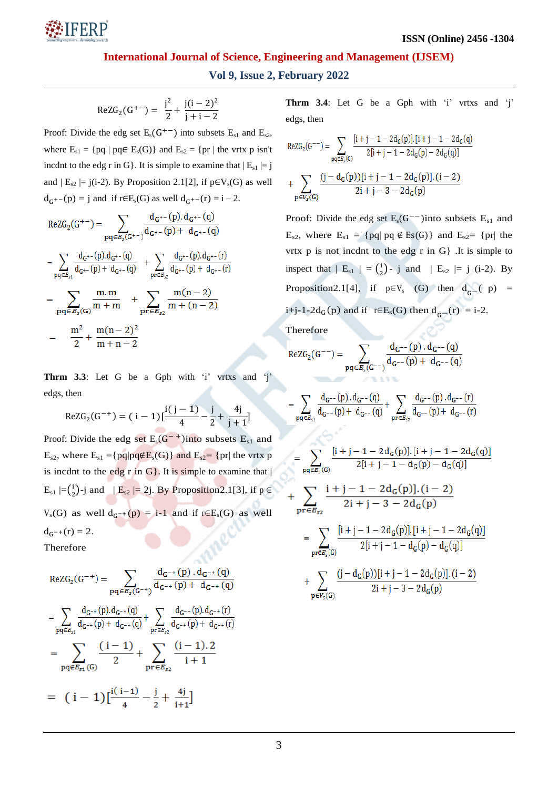

# **Vol 9, Issue 2, February 2022**

$$
ReZG_2(G^{+-}) = \frac{j^2}{2} + \frac{j(i-2)^2}{j+i-2}
$$

Proof: Divide the edg set  $E_s(G^{+-})$  into subsets  $E_{s1}$  and  $E_{s2}$ , where  $E_{s1} = \{ pq \mid pq \in E_s(G) \}$  and  $E_{s2} = \{ pr \mid the \text{ vrtx } p \text{ isn't } \}$ incdnt to the edg r in G. It is simple to examine that  $|E_{s1}| = j$ and  $| E_{s2} | = j(i-2)$ . By Proposition 2.1[2], if  $p \in V_s(G)$  as well  $d_{G^{+-}}(p) = j$  and if  $r \in E_s(G)$  as well  $d_{G^{+-}}(r) = i - 2$ .

$$
\begin{aligned} &\text{ReZG}_2(G^{+-}) = \sum_{pq \in \mathcal{E}_5(G^{+-})} \frac{d_{G^{+-}}(p).d_{G^{+-}}(q)}{d_{G^{+-}}(p)+d_{G^{+-}}(q)} \\ &= \sum_{pq \in \mathcal{E}_{\text{st}}} \frac{d_{G^{+-}}(p).d_{G^{+-}}(q)}{d_{G^{+-}}(p)+d_{G^{+-}}(q)} \ \ + \sum_{pr \in \mathcal{E}_{\text{st}}} \frac{d_{G^{+-}}(p).d_{G^{+-}}(r)}{d_{G^{+-}}(p)+d_{G^{+-}}(r)} \\ &= \sum_{pq \in \mathcal{E}_5(G)} \frac{m.m}{m+m} \ \ + \sum_{pr \in \mathcal{E}_{\text{st}}} \frac{m(n-2)}{m+(n-2)} \\ &= \ \ \frac{m^2}{2} + \frac{m(n-2)^2}{m+n-2} \end{aligned}
$$

Thrm 3.3: Let G be a Gph with 'i' vrtxs and 'j' edgs, then

$$
ReZG_2(G^{-+}) = (i-1)[\frac{i(j-1)}{4} - \frac{j}{2} + \frac{4j}{j+1}]
$$

Proof: Divide the edg set  $E_s(G^{-+})$ into subsets  $E_{s1}$  and  $E_{s2}$ , where  $E_{s1} = \{pq|pq \notin E_s(G)\}$  and  $E_{s2} = \{pr|$  the vrtx p is incdnt to the edg r in  $G$ . It is simple to examine that  $|$  $E_{s1}$   $=$   $\left(\frac{1}{2}\right)$  $\binom{1}{2}$ -j and  $|E_{s2}| = 2j$ . By Proposition2.1[3], if  $p \in$  $V_s(G)$  as well  $d_{G^{-+}}(p) = i-1$  and if r∈E<sub>s</sub>(G) as well  $d_{G^{-+}}(r) = 2.$ Therefore

$$
\begin{aligned} &\text{ReZG}_2(G^{-+}) = \sum_{pq \in \mathcal{E}_5(G^{-+})} \frac{d_{G^{-+}}(p) \cdot d_{G^{-+}}(q)}{d_{G^{-+}}(p) + d_{G^{-+}}(q)} \\ &= \sum_{pq \in \mathcal{E}_{51}} \frac{d_{G^{-+}}(p) \cdot d_{G^{-+}}(q)}{d_{G^{-+}}(p) + d_{G^{-+}}(q)} + \sum_{pr \in \mathcal{E}_{52}} \frac{d_{G^{-+}}(p) \cdot d_{G^{-+}}(r)}{d_{G^{-+}}(p) + d_{G^{-+}}(r)} \\ &= \sum_{pq \notin \mathcal{E}_{51}(G)} \frac{(i-1)}{2} + \sum_{pr \in \mathcal{E}_{52}} \frac{(i-1) \cdot 2}{i+1} \\ &= (i-1) \big[\frac{i(i-1)}{4} - \frac{j}{2} + \frac{4j}{i+1}\big] \end{aligned}
$$

**Thrm 3.4**: Let G be a Gph with 'i' vrtxs and 'j' edgs, then

$$
\begin{aligned} \text{ReZG}_2(G^{--})&=\sum_{pq\in \mathcal{E}_5(G)}\frac{[i+j-1-2d_G(p)].[i+j-1-2d_G(q)]}{2[i+j-1-2d_G(p)-2d_G(q)]}\\&+\sum_{p\in \mathcal{V}_c(G)}\frac{(j-d_G(p))[i+j-1-2d_G(p)].(i-2)}{2i+j-3-2d_G(p)} \end{aligned}
$$

Proof: Divide the edg set  $E_s(G^{--})$  into subsets  $E_{s1}$  and  $E_{s2}$ , where  $E_{s1} = \{ pq \mid pq \notin Es(G) \}$  and  $E_{s2} = \{ pr \mid the \}$ vrtx  $p$  is not incdnt to the edg  $r$  in  $G$ . It is simple to inspect that  $|E_{s1}| = {i \choose 2}$  $\binom{1}{2}$ - j and | E<sub>s2</sub>  $|= j$  (i-2). By Proposition2.1[4], if  $p \in V_s$  (G) then  $d_{G-}$  (p) = i+j-1-2d<sub>G</sub>(p) and if r∈E<sub>s</sub>(G) then d<sub>G</sub>-(r) = i-2.

Therefore

 $\equiv$ 

ReZG<sub>2</sub>(G<sup>-</sup>) = 
$$
\sum_{pq \in E_s(G^{--})} \frac{d_{G^{--}}(p) \cdot d_{G^{--}}(q)}{d_{G^{--}}(p) + d_{G^{--}}(q)}
$$

$$
\sum_{pq \in \mathcal{E}_{51}} \frac{d_{G^{--}}(p) \cdot d_{G^{--}}(q)}{d_{G^{--}}(p) + d_{G^{--}}(q)} + \sum_{pr \in \mathcal{E}_{52}} \frac{d_{G^{--}}(p) \cdot d_{G^{--}}(r)}{d_{G^{--}}(p) + d_{G^{--}}(r)}
$$

$$
=\sum_{pq\in E_{\vec{s}}(G)}\frac{[i+j-1-2d_{G}(p)].[i+j-1-2d_{G}(q)]}{2[i+j-1-d_{G}(p)-d_{G}(q)]}
$$
\n
$$
+\sum_{pr\in E_{s2}}\frac{i+j-1-2d_{G}(p)].(i-2)}{2i+j-3-2d_{G}(p)}
$$
\n
$$
=\sum_{pr\in E_{\vec{s}}(G)}\frac{[i+j-1-2d_{G}(p)].[i+j-1-2d_{G}(q)]}{2[i+j-1-d_{G}(p)-d_{G}(q)]}
$$
\n
$$
+\sum_{p\in V_{\vec{s}}(G)}\frac{(j-d_{G}(p))[i+j-1-2d_{G}(p)].(i-2)}{2i+j-3-2d_{G}(p)}
$$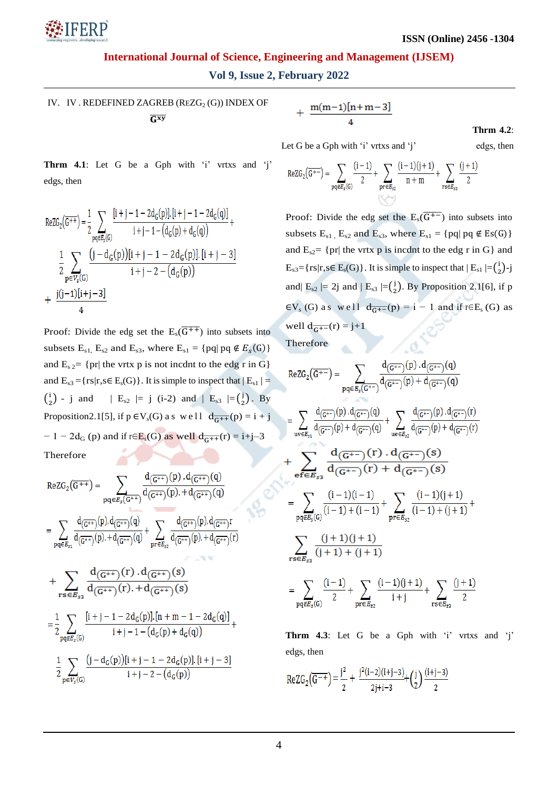

**Vol 9, Issue 2, February 2022**

IV. IV. REDEFINED ZAGREB (REZG $_2$ (G)) INDEX OF  $\overline{G}$ <sup>xy</sup>

$$
+\frac{m(m-1)[n+m-3]}{4}
$$

**Thrm 4.2**:

Let G be a Gph with 'i' vrtxs and 'j' edgs, then

**Thrm 4.1**: Let G be a Gph with  $i'$  vrtxs and  $i'$ edgs, then

$$
\begin{aligned} &\text{ReZG}_2\big(\overline{G^{++}}\big) = \frac{1}{2} \sum_{p q \notin \mathcal{E}_5(G)} \frac{[i+j-1-2d_G(p)].[i+j-1-2d_G(q)]}{i+j-1-\big(d_G(p)+d_G(q)\big)} + \\ &\frac{1}{2} \sum_{p \in V_5(G)} \frac{\big(j-d_G(p)\big)[i+j-1-2d_G(p)].[i+j-3]}{i+j-2-\big(d_G(p)\big)} \\ &+ \frac{j(j-1)[i+j-3]}{4} \end{aligned}
$$

Proof: Divide the edg set the  $E_s(\overline{G^{++}})$  into subsets into subsets  $E_{s1}$ ,  $E_{s2}$  and  $E_{s3}$ , where  $E_{s1} = \{ pq \mid pq \notin E_s(G) \}$ and  $E_{s2}$  = {pr| the vrtx p is not incdnt to the edg r in G} and  $E_{s3} = {rs|r,s \in E_s(G)}$ . It is simple to inspect that  $|E_{s1}| =$  $\binom{1}{2}$  $\binom{1}{2}$  - j and | E<sub>s2</sub>  $|= j$  (i-2) and | E<sub>s3</sub>  $|= \binom{j}{2}$  $\binom{1}{2}$ . By Proposition 2.1[5], if  $p \in V_s(G)$  as we ll  $d_{\overline{G^{++}}}(p) = i + j$  $-1-2d_G(p)$  and if r∈E<sub>s</sub>(G) as well  $d_{\overline{G^{++}}}(r) = i+j-3$ Therefore

$$
\begin{aligned} &\text{ReZG}_2\big(\overline{G^{++}}\big)=\sum_{pq\in E_5\big(\overline{G^{++}}\big)}\frac{d_{\big(\overline{G^{++}}\big)}(p)\cdot d_{\big(\overline{G^{++}}\big)}(q)}{d_{\big(\overline{G^{++}}\big)}(p)\cdot d_{\big(\overline{G^{++}}\big)}(q)}\\ &=\sum_{pq\in E_{51}}\frac{d_{\big(\overline{G^{++}}\big)}(p)\cdot d_{\big(\overline{G^{++}}\big)}(q)}{d_{\big(\overline{G^{++}}\big)}(p)\cdot d_{\big(\overline{G^{++}}\big)}(q)}+\sum_{pr\in E_{52}}\frac{d_{\big(\overline{G^{++}}\big)}(p)\cdot d_{\big(\overline{G^{++}}\big)}r}{d_{\big(\overline{G^{++}}\big)}(p)\cdot d_{\big(\overline{G^{++}}\big)}(r)}\\ &+\sum_{rs\in E_{53}}\frac{d_{\big(\overline{G^{++}}\big)}(r)\cdot d_{\big(\overline{G^{++}}\big)}(s)}{d_{\big(\overline{G^{++}}\big)}(r)\cdot d_{\big(\overline{G^{++}}\big)}(s)}\\ &=\frac{1}{2}\sum_{pq\in E_5(G)}\frac{[i+j-1-2d_G(p)].[n+m-1-2d_G(q)]}{i+j-1-(d_G(p)+d_G(q))}+\\ &\frac{1}{2}\sum_{p\in V_5(G)}\frac{\big(j-d_G(p)\big)[i+j-1-2d_G(p)].[i+j-3]}{i+j-2-(d_G(p))} \end{aligned}
$$

$$
ReZG_2(\overline{G^{+-}}) = \sum_{pq \notin E_5(G)} \frac{(i-1)}{2} + \sum_{pr \in E_{52}} \frac{(i-1)(j+1)}{n+m} + \sum_{rs \in E_{53}} \frac{(j+1)}{2}
$$

Proof: Divide the edg set the  $E_s(\overline{G^{+-}})$  into subsets into subsets  $E_{s1}$ ,  $E_{s2}$  and  $E_{s3}$ , where  $E_{s1}$  = {pq| pq  $\notin$  Es(G)} and  $E_{s2}$  {pr| the vrtx p is incdnt to the edg r in G} and  $E_{s3}$ ={rs|r,s  $\in$   $E_s$ (G)}. It is simple to inspect that  $|E_{s1}| = {i \choose 2}$  $\binom{i}{2}$ -j and|  $E_{s2}$  |= 2j and |  $E_{s3}$  |= $\left(\frac{1}{2}\right)$  $\binom{1}{2}$ . By Proposition 2.1[6], if p  $\epsilon V_s$  (G) as well  $d_{\overline{G}^{+-}}(p) = i - 1$  and if  $r \in E_s$  (G) as well  $d_{\overline{G^{+-}}}(r) = j+1$ 

Therefore

$$
ReZG_{2}(\overline{G^{+-}}) = \sum_{pq \in E_{5}(G^{+-})} \frac{d_{(\overline{G^{+-}})}(p) \cdot d_{(\overline{G^{+-}})}(q)}{d_{(\overline{G^{+-}})}(p) + d_{(\overline{G^{+-}})}(q)}
$$
\n
$$
= \sum_{uv \in E_{51}} \frac{d_{(\overline{G^{+-}})}(p) \cdot d_{(\overline{G^{+-}})}(q)}{d_{(\overline{G^{+-}})}(p) + d_{(\overline{G^{+-}})}(q)} + \sum_{ue \in E_{52}} \frac{d_{(\overline{G^{+-}})}(p) \cdot d_{(\overline{G^{+-}})}(r)}{d_{(\overline{G^{+-}})}(r) + d_{(\overline{G^{+-}})}(s)}
$$
\n
$$
+ \sum_{pq \in E_{53}} \frac{d_{(\overline{G^{+-}})}(r) \cdot d_{(\overline{G^{+-}})}(s)}{d_{(\overline{G^{+-}})}(r) + d_{(\overline{G^{+-}})}(s)}
$$
\n
$$
= \sum_{pq \in E_{5}} \frac{(i-1)(i-1)}{(i-1)+(i-1)} + \sum_{pr \in E_{52}} \frac{(i-1)(i+1)}{(i-1)+(i+1)} + \sum_{rs \in E_{53}} \frac{(i+1)(i+1)}{i+1}
$$
\n
$$
= \sum_{pq \in E_{\cdot}(G)} \frac{(i-1)}{2} + \sum_{pr \in E_{\cdot}} \frac{(i-1)(i+1)}{i+j} + \sum_{rs \in E_{\cdot}} \frac{(i+1)}{2}
$$

**Thrm 4.3**: Let G be a Gph with  $i'$  vrtxs and  $i'$ edgs, then

$$
ReZG_2(\overline{G^{-+}}) = \frac{j^2}{2} + \frac{j^2(i-2)(i+j-3)}{2j+i-3} + {j \choose 2} \frac{(i+j-3)}{2}
$$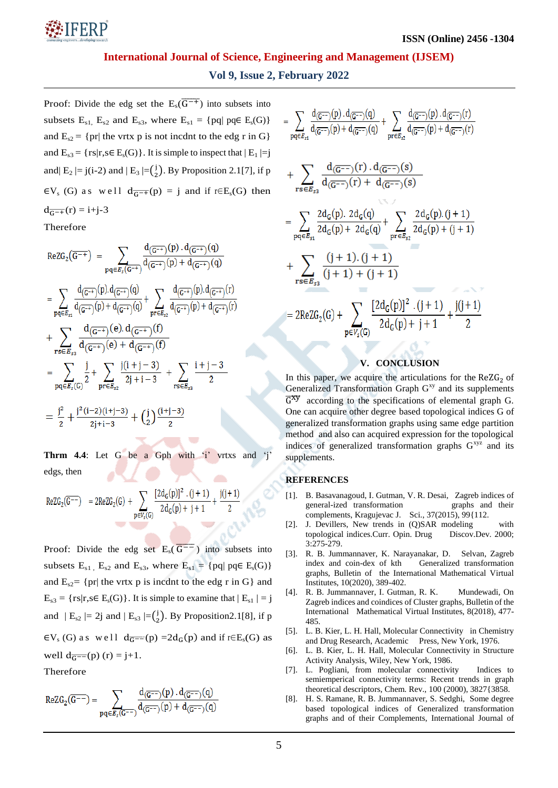

# **Vol 9, Issue 2, February 2022**

Proof: Divide the edg set the  $E_s(\overline{G^{-+}})$  into subsets into subsets  $E_{s1}$ ,  $E_{s2}$  and  $E_{s3}$ , where  $E_{s1} = \{ pq \mid pq \in E_s(G) \}$ and  $E_{s2} = \{pr | \text{ the vrtx } p \text{ is not incident to the edge } r \text{ in } G \}$ and  $E_{s3} = \{ rs | r, s \in E_s(G) \}$ . It is simple to inspect that  $| E_1 | = j$ and|  $E_2 = j(i-2)$  and  $|E_3| = {j \choose 2}$  $\binom{1}{2}$ . By Proposition 2.1[7], if p  $\epsilon V_s$  (G) as well  $d_{\overline{G^{-+}}}(p) = j$  and if r∈E<sub>s</sub>(G) then  $d_{\overline{G^{-+}}}(r) = i+j-3$ 

Therefore

$$
\begin{aligned} &\text{ReZG}_2(\overline{G^{-+}})\;=\;\sum_{pq\in\mathcal{B}_5(\overline{G^{-+}})}\frac{d_{(\overline{G^{-+}})}(p)\cdot d_{(\overline{G^{-+}})}(q)}{d_{(\overline{G^{-+}})}(p)+d_{(\overline{G^{-+}})}(q)}\\ &=\;\sum_{pq\in\mathcal{B}_{51}}\frac{d_{(\overline{G^{-+}})}(p)\cdot d_{(\overline{G^{-+}})}(q)}{d_{(\overline{G^{-+}})}(p)+d_{(\overline{G^{-+}})}(q)}+\sum_{pr\in\mathcal{B}_{52}}\frac{d_{(\overline{G^{-+}})}(p)\cdot d_{(\overline{G^{-+}})}(r)}{d_{(\overline{G^{-+}})}(p)+d_{(\overline{G^{-+}})}(r)}\\ &+\sum_{rs\in\mathcal{B}_{53}}\frac{d_{(\overline{G^{-+}})}(e)\cdot d_{(\overline{G^{-+}})}(f)}{d_{(\overline{G^{-+}})}(e)+d_{(\overline{G^{-+}})}(f)}\\ &=\;\sum_{pq\in\mathcal{B}_5(G)}\frac{j}{2}+\sum_{pr\in\mathcal{B}_{52}}\frac{j(i+j-3)}{2j+i-3}+\sum_{rs\in\mathcal{B}_{53}}\frac{i+j-3}{2}\\ &=\frac{j^2}{2}+\frac{j^2(i-2)(i+j-3)}{2j+i-3}+\Big(\frac{j}{2}\Big)\frac{(i+j-3)}{2}\end{aligned}
$$

**Thrm 4.4**: Let G be a Gph with 'i' vrtxs and 'j edgs, then

$$
\text{ReZG}_2(\overline{G^{--}}) \quad = 2 \text{ReZG}_2(G) \, + \sum_{p \in V_s(G)} \frac{[2d_G(p)]^2 \, \cdot (j+1)}{2\, d_G(p)+j+1} + \frac{j(j+1)}{2}
$$

Proof: Divide the edg set  $E_s(\overline{G^{--}})$  into subsets into subsets  $E_{s1}$ ,  $E_{s2}$  and  $E_{s3}$ , where  $E_{s1} = \{ pq \mid pq \in E_s(G) \}$ and  $E_{s2}$  {pr| the vrtx p is incdnt to the edg r in G} and  $E_{s3} = \{ rs | r, s \in E_s(G) \}$ . It is simple to examine that  $| E_{s1} | = j$ and  $| E_{s2} | = 2j$  and  $| E_{s3} | = (\frac{j}{2})$  $\binom{1}{2}$ . By Proposition 2.1[8], if p  $\in V_s(G)$  as well  $d_{\overline{G}} = (p) = 2d_G(p)$  and if  $r \in E_s(G)$  as well  $d_{\overline{G}} = (p)$  (r) = j+1.

Therefore

$$
ReZG_2(\overline{G^{--}}) = \sum_{pq \in E_s(\overline{G^{--}})} \frac{d_{(\overline{G^{--}})}(p) \cdot d_{(\overline{G^{--}})}(q)}{d_{(\overline{G^{--}})}(p) + d_{(\overline{G^{--}})}(q)}
$$

$$
\begin{aligned}&=\sum_{pq\in E_{s1}}\frac{d_{(\overline{G^{-}})}(p).d_{(\overline{G^{-}})}(q)}{d_{(\overline{G^{-}})}(p)+d_{(\overline{G^{-}})}(q)}+\sum_{pr\in E_{s2}}\frac{d_{(\overline{G^{-}})}(p).d_{(\overline{G^{-}})}(r)}{d_{(\overline{G^{-}})}(p)+d_{(\overline{G^{-}})}(r)}\\&+\sum_{rs\in E_{s3}}\frac{d_{(\overline{G^{-}})}(r).d_{(\overline{G^{-}})}(s)}{d_{(\overline{G^{-}})}(r)+d_{(\overline{G^{-}})}(s)}\\&=\sum_{pq\in E_{s1}}\frac{2d_G(p).2d_G(q)}{2d_G(p)+2d_G(q)}+\sum_{pr\in E_{s2}}\frac{2d_G(p).(j+1)}{2d_G(p)+(j+1)}\\&+\sum_{rs\in E_{s3}}\frac{(j+1).(j+1)}{(j+1)+(j+1)}\\&=2\text{ReZG}_2(G)+\sum_{p\in V_s(G)}\frac{[2d_G(p)]^2.(j+1)}{2d_G(p)+j+1}+\frac{j(j+1)}{2}\end{aligned}
$$

## **V. CONCLUSION**

In this paper, we acquire the articulations for the  $ReZG<sub>2</sub>$  of Generalized Transformation Graph  $G<sup>xy</sup>$  and its supplements  $\overline{G}^{xy}$  according to the specifications of elemental graph G. One can acquire other degree based topological indices G of generalized transformation graphs using same edge partition method and also can acquired expression for the topological indices of generalized transformation graphs  $G^{xyz}$  and its supplements.

## **REFERENCES**

- [1]. B. Basavanagoud, I. Gutman, V. R. Desai, Zagreb indices of general-ized transformation graphs and their complements, Kragujevac J. Sci., 37(2015), 99{112.
- [2]. J. Devillers, New trends in (Q)SAR modeling with topological indices.Curr. Opin. Drug Discov.Dev. 2000; 3:275-279.
- [3]. R. B. Jummannaver, K. Narayanakar, D. Selvan, Zagreb index and coin-dex of kth Generalized transformation graphs, Bulletin of the International Mathematical Virtual Institutes, 10(2020), 389-402.
- [4]. R. B. Jummannaver, I. Gutman, R. K. Mundewadi, On Zagreb indices and coindices of Cluster graphs, Bulletin of the International Mathematical Virtual Institutes, 8(2018), 477- 485.
- [5]. L. B. Kier, L. H. Hall, Molecular Connectivity in Chemistry and Drug Research, Academic Press, New York, 1976.
- [6]. L. B. Kier, L. H. Hall, Molecular Connectivity in Structure Activity Analysis, Wiley, New York, 1986.
- [7]. L. Pogliani, from molecular connectivity Indices to semiemperical connectivity terms: Recent trends in graph theoretical descriptors, Chem. Rev., 100 (2000), 3827{3858.
- [8]. H. S. Ramane, R. B. Jummannaver, S. Sedghi, Some degree based topological indices of Generalized transformation graphs and of their Complements, International Journal of